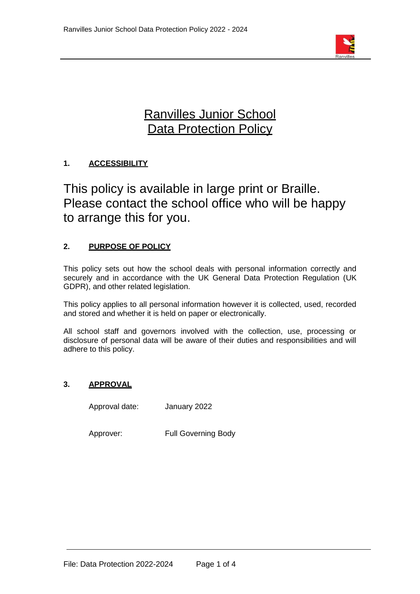

# Ranvilles Junior School **Data Protection Policy**

## **1. ACCESSIBILITY**

This policy is available in large print or Braille. Please contact the school office who will be happy to arrange this for you.

## **2. PURPOSE OF POLICY**

This policy sets out how the school deals with personal information correctly and securely and in accordance with the UK General Data Protection Regulation (UK GDPR), and other related legislation.

This policy applies to all personal information however it is collected, used, recorded and stored and whether it is held on paper or electronically.

All school staff and governors involved with the collection, use, processing or disclosure of personal data will be aware of their duties and responsibilities and will adhere to this policy.

## **3. APPROVAL**

Approval date: January 2022

Approver: Full Governing Body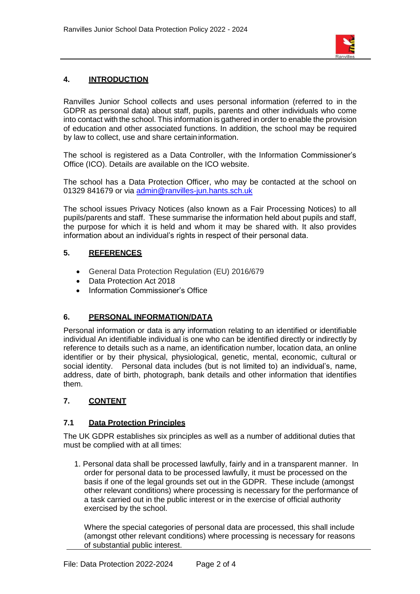

## **4. INTRODUCTION**

Ranvilles Junior School collects and uses personal information (referred to in the GDPR as personal data) about staff, pupils, parents and other individuals who come into contact with the school. This information is gathered in order to enable the provision of education and other associated functions. In addition, the school may be required by law to collect, use and share certain information.

The school is registered as a Data Controller, with the Information Commissioner's Office (ICO). Details are available on the ICO website.

The school has a Data Protection Officer, who may be contacted at the school on 01329 841679 or via [admin@ranvilles-jun.hants.sch.uk](mailto:admin@ranvilles-jun.hants.sch.uk)

The school issues Privacy Notices (also known as a Fair Processing Notices) to all pupils/parents and staff. These summarise the information held about pupils and staff, the purpose for which it is held and whom it may be shared with. It also provides information about an individual's rights in respect of their personal data.

#### **5. REFERENCES**

- General Data Protection Regulation (EU) 2016/679
- Data Protection Act 2018
- Information Commissioner's Office

#### **6. PERSONAL INFORMATION/DATA**

Personal information or data is any information relating to an identified or identifiable individual An identifiable individual is one who can be identified directly or indirectly by reference to details such as a name, an identification number, location data, an online identifier or by their physical, physiological, genetic, mental, economic, cultural or social identity. Personal data includes (but is not limited to) an individual's, name, address, date of birth, photograph, bank details and other information that identifies them.

## **7. CONTENT**

#### **7.1 Data Protection Principles**

The UK GDPR establishes six principles as well as a number of additional duties that must be complied with at all times:

1. Personal data shall be processed lawfully, fairly and in a transparent manner. In order for personal data to be processed lawfully, it must be processed on the basis if one of the legal grounds set out in the GDPR. These include (amongst other relevant conditions) where processing is necessary for the performance of a task carried out in the public interest or in the exercise of official authority exercised by the school.

Where the special categories of personal data are processed, this shall include (amongst other relevant conditions) where processing is necessary for reasons of substantial public interest.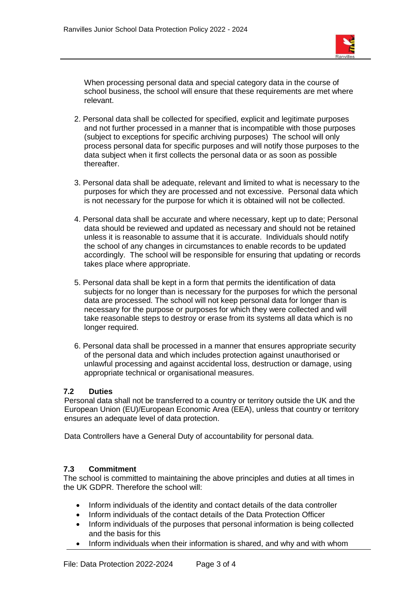

When processing personal data and special category data in the course of school business, the school will ensure that these requirements are met where relevant.

- 2. Personal data shall be collected for specified, explicit and legitimate purposes and not further processed in a manner that is incompatible with those purposes (subject to exceptions for specific archiving purposes) The school will only process personal data for specific purposes and will notify those purposes to the data subject when it first collects the personal data or as soon as possible thereafter.
- 3. Personal data shall be adequate, relevant and limited to what is necessary to the purposes for which they are processed and not excessive. Personal data which is not necessary for the purpose for which it is obtained will not be collected.
- 4. Personal data shall be accurate and where necessary, kept up to date; Personal data should be reviewed and updated as necessary and should not be retained unless it is reasonable to assume that it is accurate. Individuals should notify the school of any changes in circumstances to enable records to be updated accordingly. The school will be responsible for ensuring that updating or records takes place where appropriate.
- 5. Personal data shall be kept in a form that permits the identification of data subjects for no longer than is necessary for the purposes for which the personal data are processed. The school will not keep personal data for longer than is necessary for the purpose or purposes for which they were collected and will take reasonable steps to destroy or erase from its systems all data which is no longer required.
- 6. Personal data shall be processed in a manner that ensures appropriate security of the personal data and which includes protection against unauthorised or unlawful processing and against accidental loss, destruction or damage, using appropriate technical or organisational measures.

#### **7.2 Duties**

Personal data shall not be transferred to a country or territory outside the UK and the European Union (EU)/European Economic Area (EEA), unless that country or territory ensures an adequate level of data protection.

Data Controllers have a General Duty of accountability for personal data.

#### **7.3 Commitment**

The school is committed to maintaining the above principles and duties at all times in the UK GDPR. Therefore the school will:

- Inform individuals of the identity and contact details of the data controller
- Inform individuals of the contact details of the Data Protection Officer
- Inform individuals of the purposes that personal information is being collected and the basis for this
- Inform individuals when their information is shared, and why and with whom